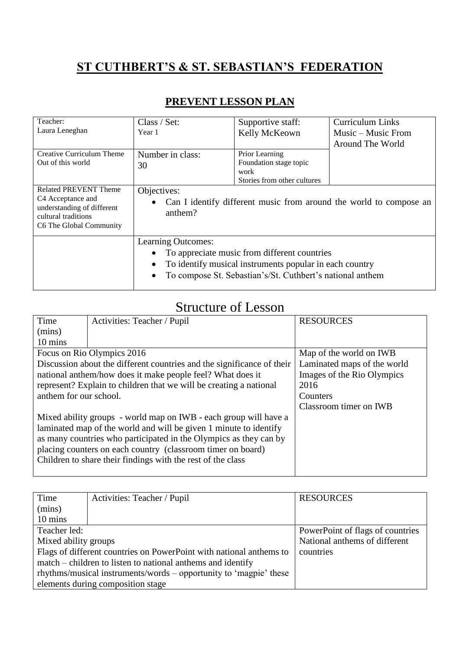## **ST CUTHBERT'S & ST. SEBASTIAN'S FEDERATION**

| Teacher:<br>Laura Leneghan                                                                                                                    | Class / Set:<br>Year 1                                                                                                                                                                                               | Supportive staff:<br>Kelly McKeown                                              | <b>Curriculum Links</b><br>Music – Music From<br>Around The World |
|-----------------------------------------------------------------------------------------------------------------------------------------------|----------------------------------------------------------------------------------------------------------------------------------------------------------------------------------------------------------------------|---------------------------------------------------------------------------------|-------------------------------------------------------------------|
| <b>Creative Curriculum Theme</b><br>Out of this world                                                                                         | Number in class:<br>30                                                                                                                                                                                               | Prior Learning<br>Foundation stage topic<br>work<br>Stories from other cultures |                                                                   |
| <b>Related PREVENT Theme</b><br>C <sub>4</sub> Acceptance and<br>understanding of different<br>cultural traditions<br>C6 The Global Community | Objectives:<br>Can I identify different music from around the world to compose an<br>anthem?                                                                                                                         |                                                                                 |                                                                   |
|                                                                                                                                               | Learning Outcomes:<br>To appreciate music from different countries<br>To identify musical instruments popular in each country<br>$\bullet$<br>To compose St. Sebastian's/St. Cuthbert's national anthem<br>$\bullet$ |                                                                                 |                                                                   |

## **PREVENT LESSON PLAN**

## Structure of Lesson

| Time                                                                   | Activities: Teacher / Pupil                                      | <b>RESOURCES</b>            |
|------------------------------------------------------------------------|------------------------------------------------------------------|-----------------------------|
| (mins)                                                                 |                                                                  |                             |
| 10 mins                                                                |                                                                  |                             |
|                                                                        | Focus on Rio Olympics 2016                                       | Map of the world on IWB     |
| Discussion about the different countries and the significance of their |                                                                  | Laminated maps of the world |
| national anthem/how does it make people feel? What does it             |                                                                  | Images of the Rio Olympics  |
| represent? Explain to children that we will be creating a national     |                                                                  | 2016                        |
| anthem for our school.                                                 |                                                                  | Counters                    |
|                                                                        |                                                                  | Classroom timer on IWB      |
|                                                                        | Mixed ability groups - world map on IWB - each group will have a |                             |
| laminated map of the world and will be given 1 minute to identify      |                                                                  |                             |
| as many countries who participated in the Olympics as they can by      |                                                                  |                             |
| placing counters on each country (classroom timer on board)            |                                                                  |                             |
| Children to share their findings with the rest of the class            |                                                                  |                             |
|                                                                        |                                                                  |                             |

| Time                                                                | Activities: Teacher / Pupil | <b>RESOURCES</b>                 |
|---------------------------------------------------------------------|-----------------------------|----------------------------------|
| (mins)                                                              |                             |                                  |
| 10 mins                                                             |                             |                                  |
| Teacher led:                                                        |                             | PowerPoint of flags of countries |
| Mixed ability groups                                                |                             | National anthems of different    |
| Flags of different countries on PowerPoint with national anthems to |                             | countries                        |
| match – children to listen to national anthems and identify         |                             |                                  |
| rhythms/musical instruments/words – opportunity to 'magpie' these   |                             |                                  |
| elements during composition stage                                   |                             |                                  |